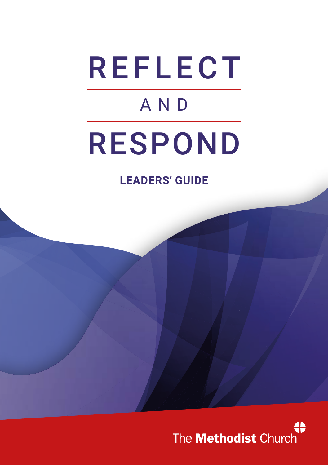# REFLECT AND RESPOND

**LEADERS' GUIDE**

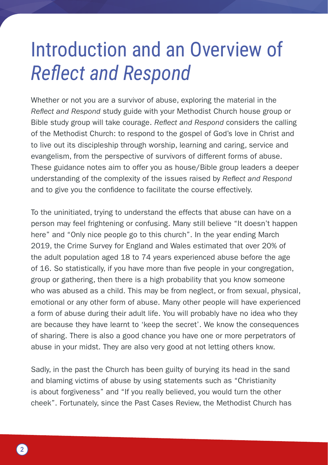#### Introduction and an Overview of *Reflect and Respond*

Whether or not you are a survivor of abuse, exploring the material in the *Reflect and Respond* study guide with your Methodist Church house group or Bible study group will take courage. *Reflect and Respond* considers the calling of the Methodist Church: to respond to the gospel of God's love in Christ and to live out its discipleship through worship, learning and caring, service and evangelism, from the perspective of survivors of different forms of abuse. These guidance notes aim to offer you as house/Bible group leaders a deeper understanding of the complexity of the issues raised by *Reflect and Respond* and to give you the confidence to facilitate the course effectively.

To the uninitiated, trying to understand the effects that abuse can have on a person may feel frightening or confusing. Many still believe "It doesn't happen here" and "Only nice people go to this church". In the year ending March 2019, the Crime Survey for England and Wales estimated that over 20% of the adult population aged 18 to 74 years experienced abuse before the age of 16. So statistically, if you have more than five people in your congregation, group or gathering, then there is a high probability that you know someone who was abused as a child. This may be from neglect, or from sexual, physical, emotional or any other form of abuse. Many other people will have experienced a form of abuse during their adult life. You will probably have no idea who they are because they have learnt to 'keep the secret'. We know the consequences of sharing. There is also a good chance you have one or more perpetrators of abuse in your midst. They are also very good at not letting others know.

Sadly, in the past the Church has been guilty of burying its head in the sand and blaming victims of abuse by using statements such as "Christianity is about forgiveness" and "If you really believed, you would turn the other cheek". Fortunately, since the Past Cases Review, the Methodist Church has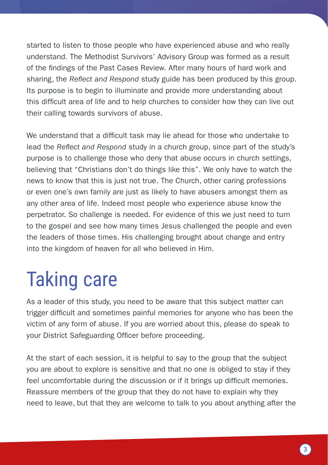started to listen to those people who have experienced abuse and who really understand. The Methodist Survivors' Advisory Group was formed as a result of the findings of the Past Cases Review. After many hours of hard work and sharing, the *Reflect and Respond* study guide has been produced by this group. Its purpose is to begin to illuminate and provide more understanding about this difficult area of life and to help churches to consider how they can live out their calling towards survivors of abuse.

We understand that a difficult task may lie ahead for those who undertake to lead the *Reflect and Respond* study in a church group, since part of the study's purpose is to challenge those who deny that abuse occurs in church settings, believing that "Christians don't do things like this". We only have to watch the news to know that this is just not true. The Church, other caring professions or even one's own family are just as likely to have abusers amongst them as any other area of life. Indeed most people who experience abuse know the perpetrator. So challenge is needed. For evidence of this we just need to turn to the gospel and see how many times Jesus challenged the people and even the leaders of those times. His challenging brought about change and entry into the kingdom of heaven for all who believed in Him.

## Taking care

As a leader of this study, you need to be aware that this subject matter can trigger difficult and sometimes painful memories for anyone who has been the victim of any form of abuse. If you are worried about this, please do speak to your District Safeguarding Officer before proceeding.

At the start of each session, it is helpful to say to the group that the subject you are about to explore is sensitive and that no one is obliged to stay if they feel uncomfortable during the discussion or if it brings up difficult memories. Reassure members of the group that they do not have to explain why they need to leave, but that they are welcome to talk to you about anything after the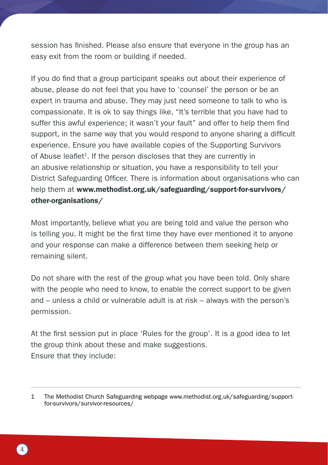session has finished. Please also ensure that everyone in the group has an easy exit from the room or building if needed.

If you do find that a group participant speaks out about their experience of abuse, please do not feel that you have to 'counsel' the person or be an expert in trauma and abuse. They may just need someone to talk to who is compassionate. It is ok to say things like, "It's terrible that you have had to suffer this awful experience; it wasn't your fault" and offer to help them find support, in the same way that you would respond to anyone sharing a difficult experience. Ensure you have available copies of the Supporting Survivors of Abuse leaflet<sup>1</sup>. If the person discloses that they are currently in an abusive relationship or situation, you have a responsibility to tell your District Safeguarding Officer. There is information about organisations who can help them at www.methodist.org.uk/safeguarding/support-for-survivors/ other-organisations/

Most importantly, believe what you are being told and value the person who is telling you. It might be the first time they have ever mentioned it to anyone and your response can make a difference between them seeking help or remaining silent.

Do not share with the rest of the group what you have been told. Only share with the people who need to know, to enable the correct support to be given and – unless a child or vulnerable adult is at risk – always with the person's permission.

At the first session put in place 'Rules for the group'. It is a good idea to let the group think about these and make suggestions. Ensure that they include:

<sup>1</sup> The Methodist Church Safeguarding webpage [www.methodist.org.uk/safeguarding/support](http://www.methodist.org.uk/safeguarding/support-for-survivors/survivor-resources/)[for-survivors/survivor-resources/](http://www.methodist.org.uk/safeguarding/support-for-survivors/survivor-resources/)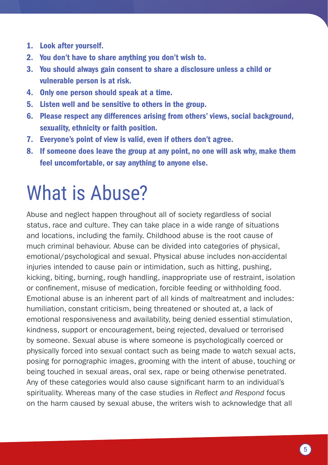- 1. Look after yourself.
- 2. You don't have to share anything you don't wish to.
- 3. You should always gain consent to share a disclosure unless a child or vulnerable person is at risk.
- 4. Only one person should speak at a time.
- 5. Listen well and be sensitive to others in the group.
- 6. Please respect any differences arising from others' views, social background, sexuality, ethnicity or faith position.
- 7. Everyone's point of view is valid, even if others don't agree.
- 8. If someone does leave the group at any point, no one will ask why, make them feel uncomfortable, or say anything to anyone else.

#### What is Abuse?

Abuse and neglect happen throughout all of society regardless of social status, race and culture. They can take place in a wide range of situations and locations, including the family. Childhood abuse is the root cause of much criminal behaviour. Abuse can be divided into categories of physical, emotional/psychological and sexual. Physical abuse includes non-accidental injuries intended to cause pain or intimidation, such as hitting, pushing, kicking, biting, burning, rough handling, inappropriate use of restraint, isolation or confinement, misuse of medication, forcible feeding or withholding food. Emotional abuse is an inherent part of all kinds of maltreatment and includes: humiliation, constant criticism, being threatened or shouted at, a lack of emotional responsiveness and availability, being denied essential stimulation, kindness, support or encouragement, being rejected, devalued or terrorised by someone. Sexual abuse is where someone is psychologically coerced or physically forced into sexual contact such as being made to watch sexual acts, posing for pornographic images, grooming with the intent of abuse, touching or being touched in sexual areas, oral sex, rape or being otherwise penetrated. Any of these categories would also cause significant harm to an individual's spirituality. Whereas many of the case studies in *Reflect and Respond* focus on the harm caused by sexual abuse, the writers wish to acknowledge that all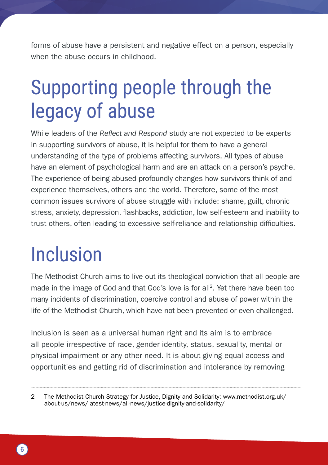forms of abuse have a persistent and negative effect on a person, especially when the abuse occurs in childhood.

#### Supporting people through the legacy of abuse

While leaders of the *Reflect and Respond* study are not expected to be experts in supporting survivors of abuse, it is helpful for them to have a general understanding of the type of problems affecting survivors. All types of abuse have an element of psychological harm and are an attack on a person's psyche. The experience of being abused profoundly changes how survivors think of and experience themselves, others and the world. Therefore, some of the most common issues survivors of abuse struggle with include: shame, guilt, chronic stress, anxiety, depression, flashbacks, addiction, low self-esteem and inability to trust others, often leading to excessive self-reliance and relationship difficulties.

#### Inclusion

The Methodist Church aims to live out its theological conviction that all people are made in the image of God and that God's love is for all2. Yet there have been too many incidents of discrimination, coercive control and abuse of power within the life of the Methodist Church, which have not been prevented or even challenged.

Inclusion is seen as a universal human right and its aim is to embrace all people irrespective of race, gender identity, status, sexuality, mental or physical impairment or any other need. It is about giving equal access and opportunities and getting rid of discrimination and intolerance by removing

<sup>2</sup> The Methodist Church Strategy for Justice, Dignity and Solidarity: [www.methodist.org.uk/](http://www.methodist.org.uk/about-us/news/latest-news/all-news/justice-dignity-and-solidarity/) [about-us/news/latest-news/all-news/justice-dignity-and-solidarity/](http://www.methodist.org.uk/about-us/news/latest-news/all-news/justice-dignity-and-solidarity/)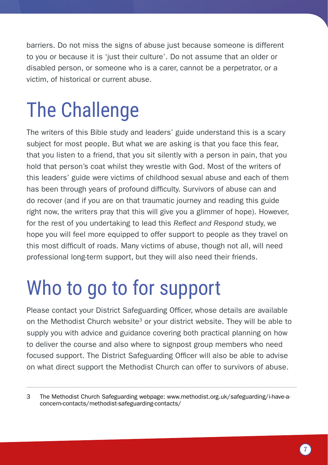barriers. Do not miss the signs of abuse just because someone is different to you or because it is 'just their culture'. Do not assume that an older or disabled person, or someone who is a carer, cannot be a perpetrator, or a victim, of historical or current abuse.

### The Challenge

The writers of this Bible study and leaders' guide understand this is a scary subject for most people. But what we are asking is that you face this fear, that you listen to a friend, that you sit silently with a person in pain, that you hold that person's coat whilst they wrestle with God. Most of the writers of this leaders' guide were victims of childhood sexual abuse and each of them has been through years of profound difficulty. Survivors of abuse can and do recover (and if you are on that traumatic journey and reading this guide right now, the writers pray that this will give you a glimmer of hope). However, for the rest of you undertaking to lead this *Reflect and Respond* study, we hope you will feel more equipped to offer support to people as they travel on this most difficult of roads. Many victims of abuse, though not all, will need professional long-term support, but they will also need their friends.

## Who to go to for support

Please contact your District Safeguarding Officer, whose details are available on the Methodist Church website<sup>3</sup> or your district website. They will be able to supply you with advice and guidance covering both practical planning on how to deliver the course and also where to signpost group members who need focused support. The District Safeguarding Officer will also be able to advise on what direct support the Methodist Church can offer to survivors of abuse.

<sup>3</sup> The Methodist Church Safeguarding webpage: [www.methodist.org.uk/safeguarding/i-have-a](http://www.methodist.org.uk/safeguarding/i-have-a-concern-contacts/methodist-safeguarding-contacts/)[concern-contacts/methodist-safeguarding-contacts/](http://www.methodist.org.uk/safeguarding/i-have-a-concern-contacts/methodist-safeguarding-contacts/)